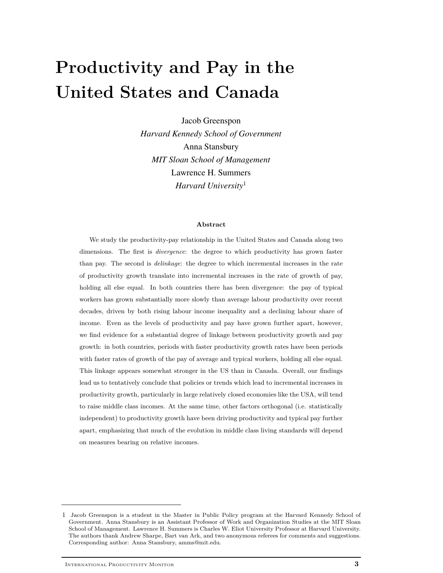# **Productivity and Pay in the United States and Canada**

Jacob Greenspon *Harvard Kennedy School of Government* Anna Stansbury *MIT Sloan School of Management* Lawrence H. Summers *Harvard University*<sup>1</sup>

#### **Abstract**

We study the productivity-pay relationship in the United States and Canada along two dimensions. The first is *divergence*: the degree to which productivity has grown faster than pay. The second is *delinkage*: the degree to which incremental increases in the rate of productivity growth translate into incremental increases in the rate of growth of pay, holding all else equal. In both countries there has been divergence: the pay of typical workers has grown substantially more slowly than average labour productivity over recent decades, driven by both rising labour income inequality and a declining labour share of income. Even as the levels of productivity and pay have grown further apart, however, we find evidence for a substantial degree of linkage between productivity growth and pay growth: in both countries, periods with faster productivity growth rates have been periods with faster rates of growth of the pay of average and typical workers, holding all else equal. This linkage appears somewhat stronger in the US than in Canada. Overall, our findings lead us to tentatively conclude that policies or trends which lead to incremental increases in productivity growth, particularly in large relatively closed economies like the USA, will tend to raise middle class incomes. At the same time, other factors orthogonal (i.e. statistically independent) to productivity growth have been driving productivity and typical pay further apart, emphasizing that much of the evolution in middle class living standards will depend on measures bearing on relative incomes.

<sup>1</sup> Jacob Greenspon is a student in the Master in Public Policy program at the Harvard Kennedy School of Government. Anna Stansbury is an Assistant Professor of Work and Organization Studies at the MIT Sloan School of Management. Lawrence H. Summers is Charles W. Eliot University Professor at Harvard University. The authors thank Andrew Sharpe, Bart van Ark, and two anonymous referees for comments and suggestions. Corresponding author: Anna Stansbury, amms@mit.edu.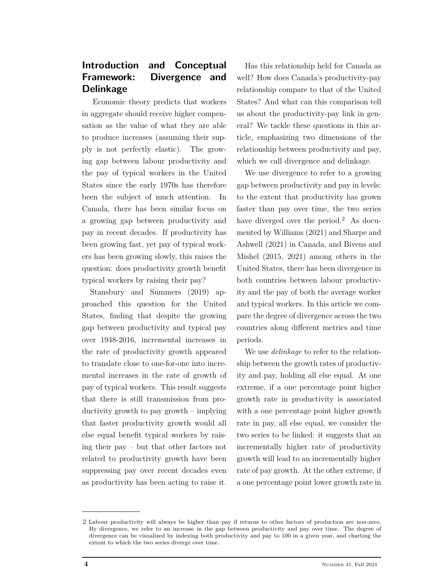# **Introduction and Conceptual Framework: Divergence and Delinkage**

Economic theory predicts that workers in aggregate should receive higher compensation as the value of what they are able to produce increases (assuming their supply is not perfectly elastic). The growing gap between labour productivity and the pay of typical workers in the United States since the early 1970s has therefore been the subject of much attention. In Canada, there has been similar focus on a growing gap between productivity and pay in recent decades. If productivity has been growing fast, yet pay of typical workers has been growing slowly, this raises the question: does productivity growth benefit typical workers by raising their pay?

Stansbury and Summers (2019) approached this question for the United States, finding that despite the growing gap between productivity and typical pay over 1948-2016, incremental increases in the rate of productivity growth appeared to translate close to one-for-one into incremental increases in the rate of growth of pay of typical workers. This result suggests that there is still transmission from productivity growth to pay growth – implying that faster productivity growth would all else equal benefit typical workers by raising their pay – but that other factors not related to productivity growth have been suppressing pay over recent decades even as productivity has been acting to raise it.

Has this relationship held for Canada as well? How does Canada's productivity-pay relationship compare to that of the United States? And what can this comparison tell us about the productivity-pay link in general? We tackle these questions in this article, emphasizing two dimensions of the relationship between productivity and pay, which we call divergence and delinkage.

We use divergence to refer to a growing gap between productivity and pay in levels: to the extent that productivity has grown faster than pay over time, the two series have diverged over the period.<sup>2</sup> As documented by Williams (2021) and Sharpe and Ashwell (2021) in Canada, and Bivens and Mishel (2015, 2021) among others in the United States, there has been divergence in both countries between labour productivity and the pay of both the average worker and typical workers. In this article we compare the degree of divergence across the two countries along different metrics and time periods.

We use *delinkage* to refer to the relationship between the growth rates of productivity and pay, holding all else equal. At one extreme, if a one percentage point higher growth rate in productivity is associated with a one percentage point higher growth rate in pay, all else equal, we consider the two series to be linked: it suggests that an incrementally higher rate of productivity growth will lead to an incrementally higher rate of pay growth. At the other extreme, if a one percentage point lower growth rate in

<sup>2</sup> Labour productivity will always be higher than pay if returns to other factors of production are non-zero. By divergence, we refer to an increase in the gap between productivity and pay over time. The degree of divergence can be visualized by indexing both productivity and pay to 100 in a given year, and charting the extent to which the two series diverge over time.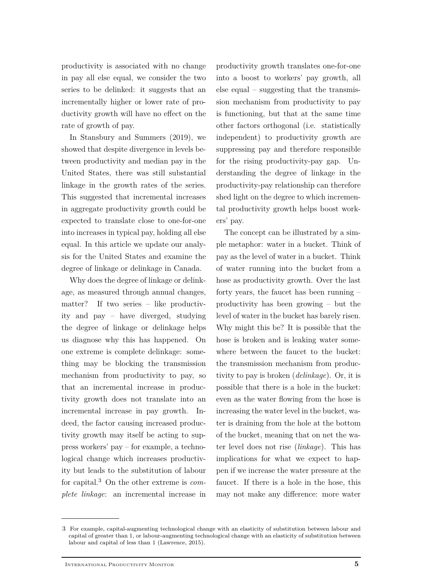productivity is associated with no change in pay all else equal, we consider the two series to be delinked: it suggests that an incrementally higher or lower rate of productivity growth will have no effect on the rate of growth of pay.

In Stansbury and Summers (2019), we showed that despite divergence in levels between productivity and median pay in the United States, there was still substantial linkage in the growth rates of the series. This suggested that incremental increases in aggregate productivity growth could be expected to translate close to one-for-one into increases in typical pay, holding all else equal. In this article we update our analysis for the United States and examine the degree of linkage or delinkage in Canada.

Why does the degree of linkage or delinkage, as measured through annual changes, matter? If two series – like productivity and pay – have diverged, studying the degree of linkage or delinkage helps us diagnose why this has happened. On one extreme is complete delinkage: something may be blocking the transmission mechanism from productivity to pay, so that an incremental increase in productivity growth does not translate into an incremental increase in pay growth. Indeed, the factor causing increased productivity growth may itself be acting to suppress workers' pay – for example, a technological change which increases productivity but leads to the substitution of labour for capital.<sup>3</sup> On the other extreme is *complete linkage*: an incremental increase in

productivity growth translates one-for-one into a boost to workers' pay growth, all else equal – suggesting that the transmission mechanism from productivity to pay is functioning, but that at the same time other factors orthogonal (i.e. statistically independent) to productivity growth are suppressing pay and therefore responsible for the rising productivity-pay gap. Understanding the degree of linkage in the productivity-pay relationship can therefore shed light on the degree to which incremental productivity growth helps boost workers' pay.

The concept can be illustrated by a simple metaphor: water in a bucket. Think of pay as the level of water in a bucket. Think of water running into the bucket from a hose as productivity growth. Over the last forty years, the faucet has been running – productivity has been growing – but the level of water in the bucket has barely risen. Why might this be? It is possible that the hose is broken and is leaking water somewhere between the faucet to the bucket: the transmission mechanism from productivity to pay is broken (*delinkage*). Or, it is possible that there is a hole in the bucket: even as the water flowing from the hose is increasing the water level in the bucket, water is draining from the hole at the bottom of the bucket, meaning that on net the water level does not rise (*linkage*). This has implications for what we expect to happen if we increase the water pressure at the faucet. If there is a hole in the hose, this may not make any difference: more water

<sup>3</sup> For example, capital-augmenting technological change with an elasticity of substitution between labour and capital of greater than 1, or labour-augmenting technological change with an elasticity of substitution between labour and capital of less than 1 (Lawrence, 2015).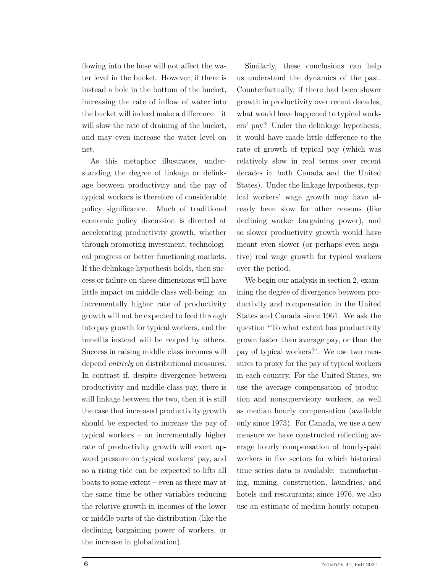flowing into the hose will not affect the water level in the bucket. However, if there is instead a hole in the bottom of the bucket, increasing the rate of inflow of water into the bucket will indeed make a difference – it will slow the rate of draining of the bucket, and may even increase the water level on net.

As this metaphor illustrates, understanding the degree of linkage or delinkage between productivity and the pay of typical workers is therefore of considerable policy significance. Much of traditional economic policy discussion is directed at accelerating productivity growth, whether through promoting investment, technological progress or better functioning markets. If the delinkage hypothesis holds, then success or failure on these dimensions will have little impact on middle class well-being: an incrementally higher rate of productivity growth will not be expected to feed through into pay growth for typical workers, and the benefits instead will be reaped by others. Success in raising middle class incomes will depend *entirely* on distributional measures. In contrast if, despite divergence between productivity and middle-class pay, there is still linkage between the two, then it is still the case that increased productivity growth should be expected to increase the pay of typical workers – an incrementally higher rate of productivity growth will exert upward pressure on typical workers' pay, and so a rising tide can be expected to lifts all boats to some extent – even as there may at the same time be other variables reducing the relative growth in incomes of the lower or middle parts of the distribution (like the declining bargaining power of workers, or the increase in globalization).

Similarly, these conclusions can help us understand the dynamics of the past. Counterfactually, if there had been slower growth in productivity over recent decades, what would have happened to typical workers' pay? Under the delinkage hypothesis, it would have made little difference to the rate of growth of typical pay (which was relatively slow in real terms over recent decades in both Canada and the United States). Under the linkage hypothesis, typical workers' wage growth may have already been slow for other reasons (like declining worker bargaining power), and so slower productivity growth would have meant even slower (or perhaps even negative) real wage growth for typical workers over the period.

We begin our analysis in section 2, examining the degree of divergence between productivity and compensation in the United States and Canada since 1961. We ask the question "To what extent has productivity grown faster than average pay, or than the pay of typical workers?". We use two measures to proxy for the pay of typical workers in each country. For the United States, we use the average compensation of production and nonsupervisory workers, as well as median hourly compensation (available only since 1973). For Canada, we use a new measure we have constructed reflecting average hourly compensation of hourly-paid workers in five sectors for which historical time series data is available: manufacturing, mining, construction, laundries, and hotels and restaurants; since 1976, we also use an estimate of median hourly compen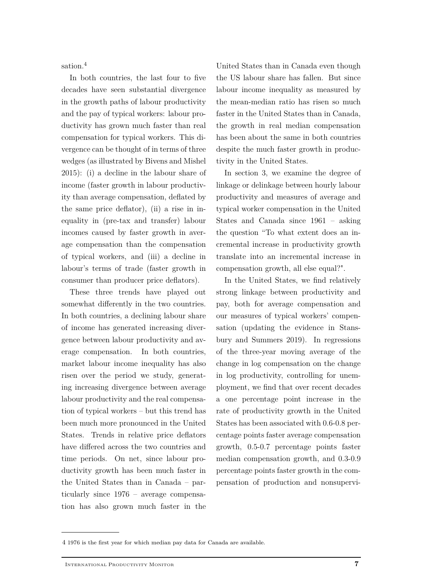sation.<sup>4</sup>

In both countries, the last four to five decades have seen substantial divergence in the growth paths of labour productivity and the pay of typical workers: labour productivity has grown much faster than real compensation for typical workers. This divergence can be thought of in terms of three wedges (as illustrated by Bivens and Mishel 2015): (i) a decline in the labour share of income (faster growth in labour productivity than average compensation, deflated by the same price deflator), (ii) a rise in inequality in (pre-tax and transfer) labour incomes caused by faster growth in average compensation than the compensation of typical workers, and (iii) a decline in labour's terms of trade (faster growth in consumer than producer price deflators).

These three trends have played out somewhat differently in the two countries. In both countries, a declining labour share of income has generated increasing divergence between labour productivity and average compensation. In both countries, market labour income inequality has also risen over the period we study, generating increasing divergence between average labour productivity and the real compensation of typical workers – but this trend has been much more pronounced in the United States. Trends in relative price deflators have differed across the two countries and time periods. On net, since labour productivity growth has been much faster in the United States than in Canada – particularly since 1976 – average compensation has also grown much faster in the

United States than in Canada even though the US labour share has fallen. But since labour income inequality as measured by the mean-median ratio has risen so much faster in the United States than in Canada, the growth in real median compensation has been about the same in both countries despite the much faster growth in productivity in the United States.

In section 3, we examine the degree of linkage or delinkage between hourly labour productivity and measures of average and typical worker compensation in the United States and Canada since 1961 – asking the question "To what extent does an incremental increase in productivity growth translate into an incremental increase in compensation growth, all else equal?".

In the United States, we find relatively strong linkage between productivity and pay, both for average compensation and our measures of typical workers' compensation (updating the evidence in Stansbury and Summers 2019). In regressions of the three-year moving average of the change in log compensation on the change in log productivity, controlling for unemployment, we find that over recent decades a one percentage point increase in the rate of productivity growth in the United States has been associated with 0.6-0.8 percentage points faster average compensation growth, 0.5-0.7 percentage points faster median compensation growth, and 0.3-0.9 percentage points faster growth in the compensation of production and nonsupervi-

<sup>4</sup> 1976 is the first year for which median pay data for Canada are available.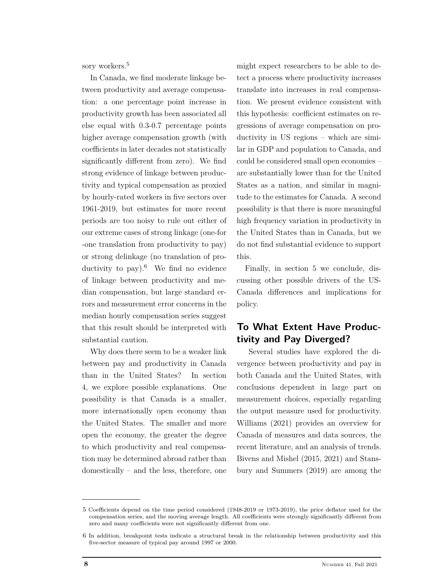sory workers.<sup>5</sup>

In Canada, we find moderate linkage between productivity and average compensation: a one percentage point increase in productivity growth has been associated all else equal with 0.3-0.7 percentage points higher average compensation growth (with coefficients in later decades not statistically significantly different from zero). We find strong evidence of linkage between productivity and typical compensation as proxied by hourly-rated workers in five sectors over 1961-2019, but estimates for more recent periods are too noisy to rule out either of our extreme cases of strong linkage (one-for -one translation from productivity to pay) or strong delinkage (no translation of productivity to pay). <sup>6</sup> We find no evidence of linkage between productivity and median compensation, but large standard errors and measurement error concerns in the median hourly compensation series suggest that this result should be interpreted with substantial caution.

Why does there seem to be a weaker link between pay and productivity in Canada than in the United States? In section 4, we explore possible explanations. One possibility is that Canada is a smaller, more internationally open economy than the United States. The smaller and more open the economy, the greater the degree to which productivity and real compensation may be determined abroad rather than domestically – and the less, therefore, one might expect researchers to be able to detect a process where productivity increases translate into increases in real compensation. We present evidence consistent with this hypothesis: coefficient estimates on regressions of average compensation on productivity in US regions – which are similar in GDP and population to Canada, and could be considered small open economies – are substantially lower than for the United States as a nation, and similar in magnitude to the estimates for Canada. A second possibility is that there is more meaningful high frequency variation in productivity in the United States than in Canada, but we do not find substantial evidence to support this.

Finally, in section 5 we conclude, discussing other possible drivers of the US-Canada differences and implications for policy.

# **To What Extent Have Productivity and Pay Diverged?**

Several studies have explored the divergence between productivity and pay in both Canada and the United States, with conclusions dependent in large part on measurement choices, especially regarding the output measure used for productivity. Williams (2021) provides an overview for Canada of measures and data sources, the recent literature, and an analysis of trends. Bivens and Mishel (2015, 2021) and Stansbury and Summers (2019) are among the

<sup>5</sup> Coefficients depend on the time period considered (1948-2019 or 1973-2019), the price deflator used for the compensation series, and the moving average length. All coefficients were strongly significantly different from zero and many coefficients were not significantly different from one.

<sup>6</sup> In addition, breakpoint tests indicate a structural break in the relationship between productivity and this five-sector measure of typical pay around 1997 or 2000.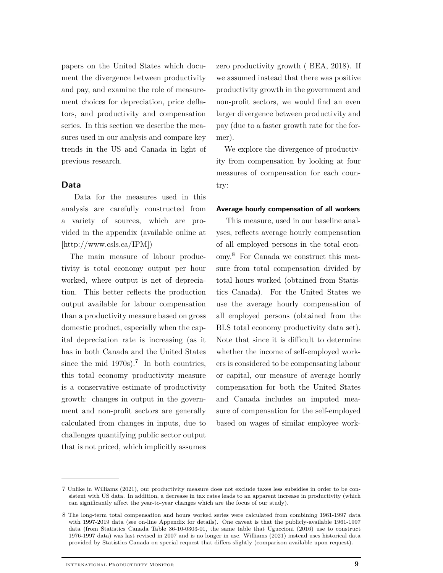papers on the United States which document the divergence between productivity and pay, and examine the role of measurement choices for depreciation, price deflators, and productivity and compensation series. In this section we describe the measures used in our analysis and compare key trends in the US and Canada in light of previous research.

### **Data**

Data for the measures used in this analysis are carefully constructed from a variety of sources, which are provided in the appendix (available online at [http://www.csls.ca/IPM])

The main measure of labour productivity is total economy output per hour worked, where output is net of depreciation. This better reflects the production output available for labour compensation than a productivity measure based on gross domestic product, especially when the capital depreciation rate is increasing (as it has in both Canada and the United States since the mid  $1970s$ .<sup>7</sup> In both countries, this total economy productivity measure is a conservative estimate of productivity growth: changes in output in the government and non-profit sectors are generally calculated from changes in inputs, due to challenges quantifying public sector output that is not priced, which implicitly assumes

zero productivity growth ( BEA, 2018). If we assumed instead that there was positive productivity growth in the government and non-profit sectors, we would find an even larger divergence between productivity and pay (due to a faster growth rate for the former).

We explore the divergence of productivity from compensation by looking at four measures of compensation for each country:

### **Average hourly compensation of all workers**

This measure, used in our baseline analyses, reflects average hourly compensation of all employed persons in the total economy.<sup>8</sup> For Canada we construct this measure from total compensation divided by total hours worked (obtained from Statistics Canada). For the United States we use the average hourly compensation of all employed persons (obtained from the BLS total economy productivity data set). Note that since it is difficult to determine whether the income of self-employed workers is considered to be compensating labour or capital, our measure of average hourly compensation for both the United States and Canada includes an imputed measure of compensation for the self-employed based on wages of similar employee work-

<sup>7</sup> Unlike in Williams (2021), our productivity measure does not exclude taxes less subsidies in order to be consistent with US data. In addition, a decrease in tax rates leads to an apparent increase in productivity (which can significantly affect the year-to-year changes which are the focus of our study).

<sup>8</sup> The long-term total compensation and hours worked series were calculated from combining 1961-1997 data with 1997-2019 data (see on-line Appendix for details). One caveat is that the publicly-available 1961-1997 data (from Statistics Canada Table 36-10-0303-01, the same table that Uguccioni (2016) use to construct 1976-1997 data) was last revised in 2007 and is no longer in use. Williams (2021) instead uses historical data provided by Statistics Canada on special request that differs slightly (comparison available upon request).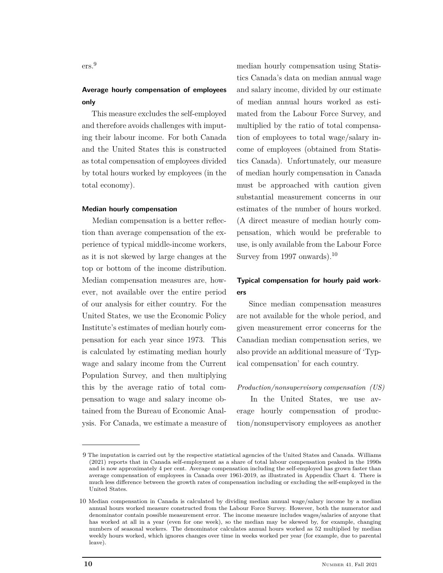ers.<sup>9</sup>

# **Average hourly compensation of employees only**

This measure excludes the self-employed and therefore avoids challenges with imputing their labour income. For both Canada and the United States this is constructed as total compensation of employees divided by total hours worked by employees (in the total economy).

### **Median hourly compensation**

Median compensation is a better reflection than average compensation of the experience of typical middle-income workers, as it is not skewed by large changes at the top or bottom of the income distribution. Median compensation measures are, however, not available over the entire period of our analysis for either country. For the United States, we use the Economic Policy Institute's estimates of median hourly compensation for each year since 1973. This is calculated by estimating median hourly wage and salary income from the Current Population Survey, and then multiplying this by the average ratio of total compensation to wage and salary income obtained from the Bureau of Economic Analysis. For Canada, we estimate a measure of

median hourly compensation using Statistics Canada's data on median annual wage and salary income, divided by our estimate of median annual hours worked as estimated from the Labour Force Survey, and multiplied by the ratio of total compensation of employees to total wage/salary income of employees (obtained from Statistics Canada). Unfortunately, our measure of median hourly compensation in Canada must be approached with caution given substantial measurement concerns in our estimates of the number of hours worked. (A direct measure of median hourly compensation, which would be preferable to use, is only available from the Labour Force Survey from 1997 onwards).<sup>10</sup>

## **Typical compensation for hourly paid workers**

Since median compensation measures are not available for the whole period, and given measurement error concerns for the Canadian median compensation series, we also provide an additional measure of 'Typical compensation' for each country.

### *Production/nonsupervisory compensation (US)*

In the United States, we use average hourly compensation of production/nonsupervisory employees as another

<sup>9</sup> The imputation is carried out by the respective statistical agencies of the United States and Canada. Williams (2021) reports that in Canada self-employment as a share of total labour compensation peaked in the 1990s and is now approximately 4 per cent. Average compensation including the self-employed has grown faster than average compensation of employees in Canada over 1961-2019, as illustrated in Appendix Chart 4. There is much less difference between the growth rates of compensation including or excluding the self-employed in the United States.

<sup>10</sup> Median compensation in Canada is calculated by dividing median annual wage/salary income by a median annual hours worked measure constructed from the Labour Force Survey. However, both the numerator and denominator contain possible measurement error. The income measure includes wages/salaries of anyone that has worked at all in a year (even for one week), so the median may be skewed by, for example, changing numbers of seasonal workers. The denominator calculates annual hours worked as 52 multiplied by median weekly hours worked, which ignores changes over time in weeks worked per year (for example, due to parental leave).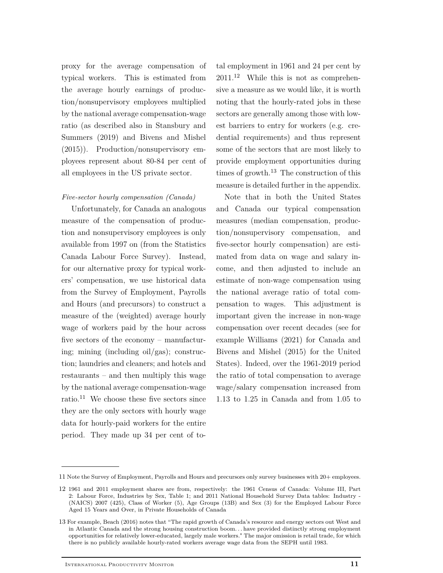proxy for the average compensation of typical workers. This is estimated from the average hourly earnings of production/nonsupervisory employees multiplied by the national average compensation-wage ratio (as described also in Stansbury and Summers (2019) and Bivens and Mishel (2015)). Production/nonsupervisory employees represent about 80-84 per cent of all employees in the US private sector.

### *Five-sector hourly compensation (Canada)*

Unfortunately, for Canada an analogous measure of the compensation of production and nonsupervisory employees is only available from 1997 on (from the Statistics Canada Labour Force Survey). Instead, for our alternative proxy for typical workers' compensation, we use historical data from the Survey of Employment, Payrolls and Hours (and precursors) to construct a measure of the (weighted) average hourly wage of workers paid by the hour across five sectors of the economy – manufacturing; mining (including oil/gas); construction; laundries and cleaners; and hotels and restaurants – and then multiply this wage by the national average compensation-wage ratio.<sup>11</sup> We choose these five sectors since they are the only sectors with hourly wage data for hourly-paid workers for the entire period. They made up 34 per cent of to-

tal employment in 1961 and 24 per cent by  $2011<sup>12</sup>$  While this is not as comprehensive a measure as we would like, it is worth noting that the hourly-rated jobs in these sectors are generally among those with lowest barriers to entry for workers (e.g. credential requirements) and thus represent some of the sectors that are most likely to provide employment opportunities during times of growth. $^{13}$  The construction of this measure is detailed further in the appendix.

Note that in both the United States and Canada our typical compensation measures (median compensation, production/nonsupervisory compensation, and five-sector hourly compensation) are estimated from data on wage and salary income, and then adjusted to include an estimate of non-wage compensation using the national average ratio of total compensation to wages. This adjustment is important given the increase in non-wage compensation over recent decades (see for example Williams (2021) for Canada and Bivens and Mishel (2015) for the United States). Indeed, over the 1961-2019 period the ratio of total compensation to average wage/salary compensation increased from 1.13 to 1.25 in Canada and from 1.05 to

<sup>11</sup> Note the Survey of Employment, Payrolls and Hours and precursors only survey businesses with 20+ employees.

<sup>12</sup> 1961 and 2011 employment shares are from, respectively: the 1961 Census of Canada: Volume III, Part 2: Labour Force, Industries by Sex, Table 1; and 2011 National Household Survey Data tables: Industry - (NAICS) 2007 (425), Class of Worker (5), Age Groups (13B) and Sex (3) for the Employed Labour Force Aged 15 Years and Over, in Private Households of Canada

<sup>13</sup> For example, Beach (2016) notes that "The rapid growth of Canada's resource and energy sectors out West and in Atlantic Canada and the strong housing construction boom. . . have provided distinctly strong employment opportunities for relatively lower-educated, largely male workers." The major omission is retail trade, for which there is no publicly available hourly-rated workers average wage data from the SEPH until 1983.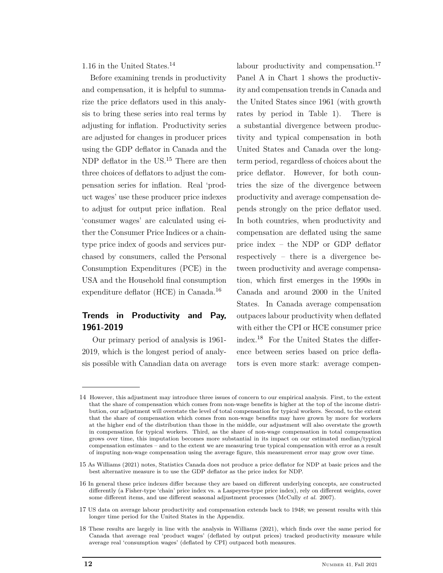1.16 in the United States.<sup>14</sup>

Before examining trends in productivity and compensation, it is helpful to summarize the price deflators used in this analysis to bring these series into real terms by adjusting for inflation. Productivity series are adjusted for changes in producer prices using the GDP deflator in Canada and the NDP deflator in the US.<sup>15</sup> There are then three choices of deflators to adjust the compensation series for inflation. Real 'product wages' use these producer price indexes to adjust for output price inflation. Real 'consumer wages' are calculated using either the Consumer Price Indices or a chaintype price index of goods and services purchased by consumers, called the Personal Consumption Expenditures (PCE) in the USA and the Household final consumption expenditure deflator (HCE) in Canada.<sup>16</sup>

# **Trends in Productivity and Pay, 1961-2019**

Our primary period of analysis is 1961- 2019, which is the longest period of analysis possible with Canadian data on average labour productivity and compensation.<sup>17</sup> Panel A in Chart 1 shows the productivity and compensation trends in Canada and the United States since 1961 (with growth rates by period in Table 1). There is a substantial divergence between productivity and typical compensation in both United States and Canada over the longterm period, regardless of choices about the price deflator. However, for both countries the size of the divergence between productivity and average compensation depends strongly on the price deflator used. In both countries, when productivity and compensation are deflated using the same price index – the NDP or GDP deflator respectively – there is a divergence between productivity and average compensation, which first emerges in the 1990s in Canada and around 2000 in the United States. In Canada average compensation outpaces labour productivity when deflated with either the CPI or HCE consumer price index.<sup>18</sup> For the United States the difference between series based on price deflators is even more stark: average compen-

<sup>14</sup> However, this adjustment may introduce three issues of concern to our empirical analysis. First, to the extent that the share of compensation which comes from non-wage benefits is higher at the top of the income distribution, our adjustment will overstate the level of total compensation for typical workers. Second, to the extent that the share of compensation which comes from non-wage benefits may have grown by more for workers at the higher end of the distribution than those in the middle, our adjustment will also overstate the growth in compensation for typical workers. Third, as the share of non-wage compensation in total compensation grows over time, this imputation becomes more substantial in its impact on our estimated median/typical compensation estimates – and to the extent we are measuring true typical compensation with error as a result of imputing non-wage compensation using the average figure, this measurement error may grow over time.

<sup>15</sup> As Williams (2021) notes, Statistics Canada does not produce a price deflator for NDP at basic prices and the best alternative measure is to use the GDP deflator as the price index for NDP.

<sup>16</sup> In general these price indexes differ because they are based on different underlying concepts, are constructed differently (a Fisher-type 'chain' price index vs. a Laspeyres-type price index), rely on different weights, cover some different items, and use different seasonal adjustment processes (McCully *et al.* 2007).

<sup>17</sup> US data on average labour productivity and compensation extends back to 1948; we present results with this longer time period for the United States in the Appendix.

<sup>18</sup> These results are largely in line with the analysis in Williams (2021), which finds over the same period for Canada that average real 'product wages' (deflated by output prices) tracked productivity measure while average real 'consumption wages' (deflated by CPI) outpaced both measures.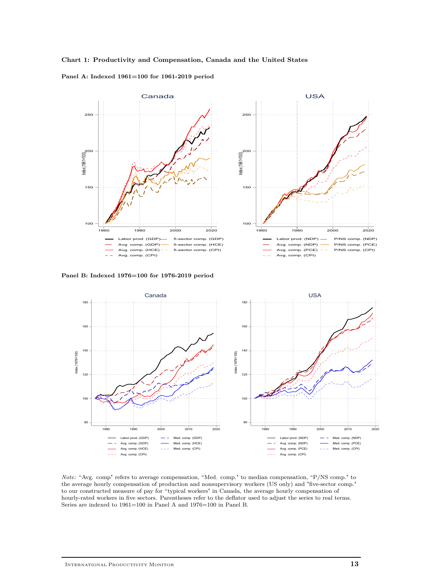





**Panel B: Indexed 1976=100 for 1976-2019 period**



*Note:* "Avg. comp" refers to average compensation, "Med. comp." to median compensation, "P/NS comp." to the average hourly compensation of production and nonsupervisory workers (US only) and "five-sector comp." to our constructed measure of pay for "typical workers" in Canada, the average hourly compensation of hourly-rated workers in five sectors. Parentheses refer to the deflator used to adjust the series to real terms. Series are indexed to 1961=100 in Panel A and 1976=100 in Panel B.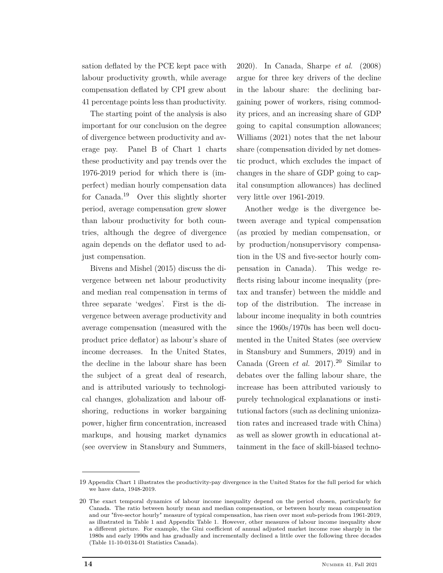sation deflated by the PCE kept pace with labour productivity growth, while average compensation deflated by CPI grew about 41 percentage points less than productivity.

The starting point of the analysis is also important for our conclusion on the degree of divergence between productivity and average pay. Panel B of Chart 1 charts these productivity and pay trends over the 1976-2019 period for which there is (imperfect) median hourly compensation data for Canada.<sup>19</sup> Over this slightly shorter period, average compensation grew slower than labour productivity for both countries, although the degree of divergence again depends on the deflator used to adjust compensation.

Bivens and Mishel (2015) discuss the divergence between net labour productivity and median real compensation in terms of three separate 'wedges'. First is the divergence between average productivity and average compensation (measured with the product price deflator) as labour's share of income decreases. In the United States, the decline in the labour share has been the subject of a great deal of research, and is attributed variously to technological changes, globalization and labour offshoring, reductions in worker bargaining power, higher firm concentration, increased markups, and housing market dynamics (see overview in Stansbury and Summers,

2020). In Canada, Sharpe *et al.* (2008) argue for three key drivers of the decline in the labour share: the declining bargaining power of workers, rising commodity prices, and an increasing share of GDP going to capital consumption allowances; Williams (2021) notes that the net labour share (compensation divided by net domestic product, which excludes the impact of changes in the share of GDP going to capital consumption allowances) has declined very little over 1961-2019.

Another wedge is the divergence between average and typical compensation (as proxied by median compensation, or by production/nonsupervisory compensation in the US and five-sector hourly compensation in Canada). This wedge reflects rising labour income inequality (pretax and transfer) between the middle and top of the distribution. The increase in labour income inequality in both countries since the 1960s/1970s has been well documented in the United States (see overview in Stansbury and Summers, 2019) and in Canada (Green *et al.* 2017).<sup>20</sup> Similar to debates over the falling labour share, the increase has been attributed variously to purely technological explanations or institutional factors (such as declining unionization rates and increased trade with China) as well as slower growth in educational attainment in the face of skill-biased techno-

<sup>19</sup> Appendix Chart 1 illustrates the productivity-pay divergence in the United States for the full period for which we have data, 1948-2019.

<sup>20</sup> The exact temporal dynamics of labour income inequality depend on the period chosen, particularly for Canada. The ratio between hourly mean and median compensation, or between hourly mean compensation and our "five-sector hourly" measure of typical compensation, has risen over most sub-periods from 1961-2019, as illustrated in Table 1 and Appendix Table 1. However, other measures of labour income inequality show a different picture. For example, the Gini coefficient of annual adjusted market income rose sharply in the 1980s and early 1990s and has gradually and incrementally declined a little over the following three decades (Table 11-10-0134-01 Statistics Canada).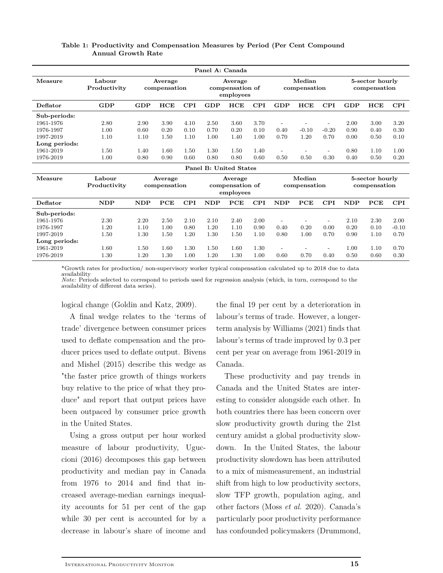| Panel A: Canada |                        |                         |      |                                         |                               |      |                        |                |         |                                 |            |      |            |
|-----------------|------------------------|-------------------------|------|-----------------------------------------|-------------------------------|------|------------------------|----------------|---------|---------------------------------|------------|------|------------|
| Measure         | Labour<br>Productivity | Average<br>compensation |      | Average<br>compensation of<br>employees |                               |      | Median<br>compensation |                |         | 5-sector hourly<br>compensation |            |      |            |
| Deflator        | GDP                    | GDP                     | HCE  | CPI                                     | GDP                           | HCE  | <b>CPI</b>             | GDP            | HCE     | CPI                             | <b>GDP</b> | HCE  | <b>CPI</b> |
| Sub-periods:    |                        |                         |      |                                         |                               |      |                        |                |         |                                 |            |      |            |
| 1961-1976       | 2.80                   | 2.90                    | 3.90 | 4.10                                    | 2.50                          | 3.60 | 3.70                   |                |         |                                 | 2.00       | 3.00 | 3.20       |
| 1976-1997       | 1.00                   | 0.60                    | 0.20 | 0.10                                    | 0.70                          | 0.20 | 0.10                   | 0.40           | $-0.10$ | $-0.20$                         | 0.90       | 0.40 | 0.30       |
| 1997-2019       | 1.10                   | 1.10                    | 1.50 | 1.10                                    | 1.00                          | 1.40 | 1.00                   | 0.70           | 1.20    | 0.70                            | 0.00       | 0.50 | 0.10       |
| Long periods:   |                        |                         |      |                                         |                               |      |                        |                |         |                                 |            |      |            |
| 1961-2019       | 1.50                   | 1.40                    | 1.60 | 1.50                                    | 1.30                          | 1.50 | 1.40                   |                |         |                                 | 0.80       | 1.10 | 1.00       |
| 1976-2019       | 1.00                   | 0.80                    | 0.90 | 0.60                                    | 0.80                          | 0.80 | 0.60                   | 0.50           | 0.50    | 0.30                            | 0.40       | 0.50 | 0.20       |
|                 |                        |                         |      |                                         | <b>Panel B: United States</b> |      |                        |                |         |                                 |            |      |            |
| Measure         | Labour<br>Productivity | Average<br>compensation |      | Average<br>compensation of<br>employees |                               |      | Median<br>compensation |                |         | 5-sector hourly<br>compensation |            |      |            |
| Deflator        | <b>NDP</b>             | <b>NDP</b>              | PCE  | <b>CPI</b>                              | <b>NDP</b>                    | PCE  | <b>CPI</b>             | NDP            | PCE     | <b>CPI</b>                      | NDP        | PCE  | <b>CPI</b> |
| Sub-periods:    |                        |                         |      |                                         |                               |      |                        |                |         |                                 |            |      |            |
| 1961-1976       | 2.30                   | 2.20                    | 2.50 | 2.10                                    | 2.10                          | 2.40 | 2.00                   | $\overline{a}$ |         | $\overline{\phantom{a}}$        | 2.10       | 2.30 | 2.00       |
| 1976-1997       | 1.20                   | 1.10                    | 1.00 | 0.80                                    | 1.20                          | 1.10 | 0.90                   | 0.40           | 0.20    | 0.00                            | 0.20       | 0.10 | $-0.10$    |
| 1997-2019       | 1.50                   | 1.30                    | 1.50 | 1.20                                    | 1.30                          | 1.50 | 1.10                   | 0.80           | 1.00    | 0.70                            | 0.90       | 1.10 | 0.70       |
| Long periods:   |                        |                         |      |                                         |                               |      |                        |                |         |                                 |            |      |            |
| 1961-2019       | 1.60                   | 1.50                    | 1.60 | 1.30                                    | 1.50                          | 1.60 | 1.30                   |                |         |                                 | 1.00       | 1.10 | 0.70       |
| 1976-2019       | 1.30                   | 1.20                    | 1.30 | 1.00                                    | 1.20                          | 1.30 | 1.00                   | 0.60           | 0.70    | 0.40                            | 0.50       | 0.60 | 0.30       |

### **Table 1: Productivity and Compensation Measures by Period (Per Cent Compound Annual Growth Rate**

\*Growth rates for production/ non-supervisory worker typical compensation calculated up to 2018 due to data availability

*Note:* Periods selected to correspond to periods used for regression analysis (which, in turn, correspond to the availability of different data series).

logical change (Goldin and Katz, 2009).

A final wedge relates to the 'terms of trade' divergence between consumer prices used to deflate compensation and the producer prices used to deflate output. Bivens and Mishel (2015) describe this wedge as "the faster price growth of things workers buy relative to the price of what they produce" and report that output prices have been outpaced by consumer price growth in the United States.

Using a gross output per hour worked measure of labour productivity, Uguccioni (2016) decomposes this gap between productivity and median pay in Canada from 1976 to 2014 and find that increased average-median earnings inequality accounts for 51 per cent of the gap while 30 per cent is accounted for by a decrease in labour's share of income and

the final 19 per cent by a deterioration in labour's terms of trade. However, a longerterm analysis by Williams (2021) finds that labour's terms of trade improved by 0.3 per cent per year on average from 1961-2019 in Canada.

These productivity and pay trends in Canada and the United States are interesting to consider alongside each other. In both countries there has been concern over slow productivity growth during the 21st century amidst a global productivity slowdown. In the United States, the labour productivity slowdown has been attributed to a mix of mismeasurement, an industrial shift from high to low productivity sectors, slow TFP growth, population aging, and other factors (Moss *et al.* 2020). Canada's particularly poor productivity performance has confounded policymakers (Drummond,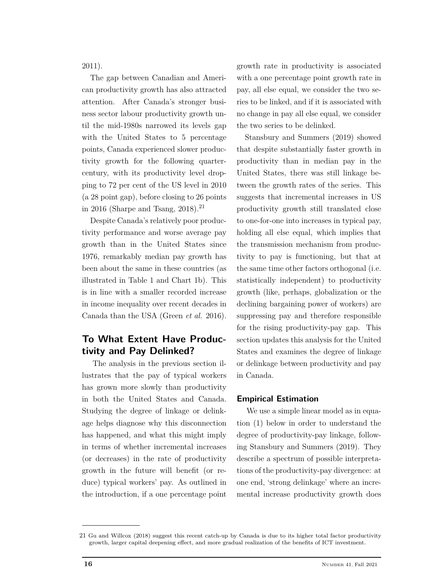2011).

The gap between Canadian and American productivity growth has also attracted attention. After Canada's stronger business sector labour productivity growth until the mid-1980s narrowed its levels gap with the United States to 5 percentage points, Canada experienced slower productivity growth for the following quartercentury, with its productivity level dropping to 72 per cent of the US level in 2010 (a 28 point gap), before closing to 26 points in 2016 (Sharpe and Tsang,  $2018$ ).<sup>21</sup>

Despite Canada's relatively poor productivity performance and worse average pay growth than in the United States since 1976, remarkably median pay growth has been about the same in these countries (as illustrated in Table 1 and Chart 1b). This is in line with a smaller recorded increase in income inequality over recent decades in Canada than the USA (Green *et al.* 2016).

# **To What Extent Have Productivity and Pay Delinked?**

The analysis in the previous section illustrates that the pay of typical workers has grown more slowly than productivity in both the United States and Canada. Studying the degree of linkage or delinkage helps diagnose why this disconnection has happened, and what this might imply in terms of whether incremental increases (or decreases) in the rate of productivity growth in the future will benefit (or reduce) typical workers' pay. As outlined in the introduction, if a one percentage point

growth rate in productivity is associated with a one percentage point growth rate in pay, all else equal, we consider the two series to be linked, and if it is associated with no change in pay all else equal, we consider the two series to be delinked.

Stansbury and Summers (2019) showed that despite substantially faster growth in productivity than in median pay in the United States, there was still linkage between the growth rates of the series. This suggests that incremental increases in US productivity growth still translated close to one-for-one into increases in typical pay, holding all else equal, which implies that the transmission mechanism from productivity to pay is functioning, but that at the same time other factors orthogonal (i.e. statistically independent) to productivity growth (like, perhaps, globalization or the declining bargaining power of workers) are suppressing pay and therefore responsible for the rising productivity-pay gap. This section updates this analysis for the United States and examines the degree of linkage or delinkage between productivity and pay in Canada.

### **Empirical Estimation**

We use a simple linear model as in equation (1) below in order to understand the degree of productivity-pay linkage, following Stansbury and Summers (2019). They describe a spectrum of possible interpretations of the productivity-pay divergence: at one end, 'strong delinkage' where an incremental increase productivity growth does

<sup>21</sup> Gu and Willcox (2018) suggest this recent catch-up by Canada is due to its higher total factor productivity growth, larger capital deepening effect, and more gradual realization of the benefits of ICT investment.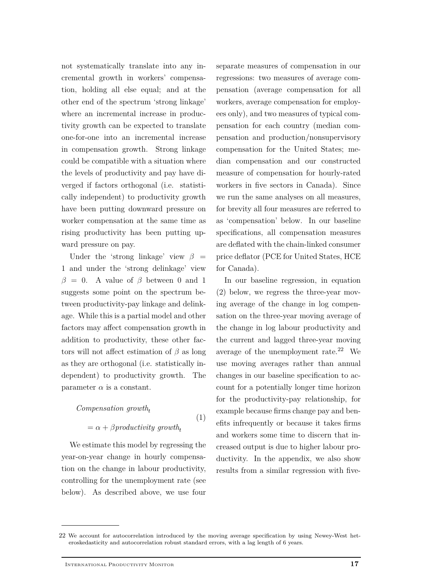not systematically translate into any incremental growth in workers' compensation, holding all else equal; and at the other end of the spectrum 'strong linkage' where an incremental increase in productivity growth can be expected to translate one-for-one into an incremental increase in compensation growth. Strong linkage could be compatible with a situation where the levels of productivity and pay have diverged if factors orthogonal (i.e. statistically independent) to productivity growth have been putting downward pressure on worker compensation at the same time as rising productivity has been putting upward pressure on pay.

Under the 'strong linkage' view  $\beta =$ 1 and under the 'strong delinkage' view  $\beta = 0$ . A value of  $\beta$  between 0 and 1 suggests some point on the spectrum between productivity-pay linkage and delinkage. While this is a partial model and other factors may affect compensation growth in addition to productivity, these other factors will not affect estimation of *β* as long as they are orthogonal (i.e. statistically independent) to productivity growth. The parameter  $\alpha$  is a constant.

*Compensation growth*<sub>t</sub> 
$$
= \alpha + \beta \text{productivity} \text{ growth}_{t}
$$
 (1)

We estimate this model by regressing the year-on-year change in hourly compensation on the change in labour productivity, controlling for the unemployment rate (see below). As described above, we use four separate measures of compensation in our regressions: two measures of average compensation (average compensation for all workers, average compensation for employees only), and two measures of typical compensation for each country (median compensation and production/nonsupervisory compensation for the United States; median compensation and our constructed measure of compensation for hourly-rated workers in five sectors in Canada). Since we run the same analyses on all measures, for brevity all four measures are referred to as 'compensation' below. In our baseline specifications, all compensation measures are deflated with the chain-linked consumer price deflator (PCE for United States, HCE for Canada).

In our baseline regression, in equation (2) below, we regress the three-year moving average of the change in log compensation on the three-year moving average of the change in log labour productivity and the current and lagged three-year moving average of the unemployment rate.<sup>22</sup> We use moving averages rather than annual changes in our baseline specification to account for a potentially longer time horizon for the productivity-pay relationship, for example because firms change pay and benefits infrequently or because it takes firms and workers some time to discern that increased output is due to higher labour productivity. In the appendix, we also show results from a similar regression with five-

<sup>22</sup> We account for autocorrelation introduced by the moving average specification by using Newey-West heteroskedasticity and autocorrelation robust standard errors, with a lag length of 6 years.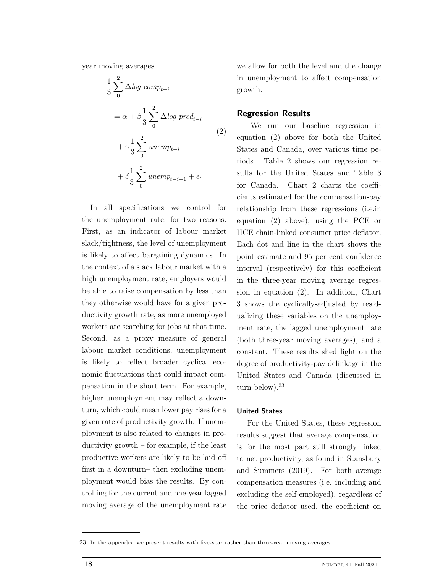year moving averages.

$$
\frac{1}{3} \sum_{0}^{2} \Delta log \text{ comp}_{t-i}
$$
\n
$$
= \alpha + \beta \frac{1}{3} \sum_{0}^{2} \Delta log \text{ prod}_{t-i}
$$
\n
$$
+ \gamma \frac{1}{3} \sum_{0}^{2} unemp_{t-i}
$$
\n
$$
+ \delta \frac{1}{3} \sum_{0}^{2} unemp_{t-i-1} + \epsilon_{t}
$$
\n(2)

In all specifications we control for the unemployment rate, for two reasons. First, as an indicator of labour market slack/tightness, the level of unemployment is likely to affect bargaining dynamics. In the context of a slack labour market with a high unemployment rate, employers would be able to raise compensation by less than they otherwise would have for a given productivity growth rate, as more unemployed workers are searching for jobs at that time. Second, as a proxy measure of general labour market conditions, unemployment is likely to reflect broader cyclical economic fluctuations that could impact compensation in the short term. For example, higher unemployment may reflect a downturn, which could mean lower pay rises for a given rate of productivity growth. If unemployment is also related to changes in productivity growth – for example, if the least productive workers are likely to be laid off first in a downturn– then excluding unemployment would bias the results. By controlling for the current and one-year lagged moving average of the unemployment rate

we allow for both the level and the change in unemployment to affect compensation growth.

### **Regression Results**

We run our baseline regression in equation (2) above for both the United States and Canada, over various time periods. Table 2 shows our regression results for the United States and Table 3 for Canada. Chart 2 charts the coefficients estimated for the compensation-pay relationship from these regressions (i.e.in equation (2) above), using the PCE or HCE chain-linked consumer price deflator. Each dot and line in the chart shows the point estimate and 95 per cent confidence interval (respectively) for this coefficient in the three-year moving average regression in equation (2). In addition, Chart 3 shows the cyclically-adjusted by residualizing these variables on the unemployment rate, the lagged unemployment rate (both three-year moving averages), and a constant. These results shed light on the degree of productivity-pay delinkage in the United States and Canada (discussed in turn below). $23$ 

### **United States**

For the United States, these regression results suggest that average compensation is for the most part still strongly linked to net productivity, as found in Stansbury and Summers (2019). For both average compensation measures (i.e. including and excluding the self-employed), regardless of the price deflator used, the coefficient on

<sup>23</sup> In the appendix, we present results with five-year rather than three-year moving averages.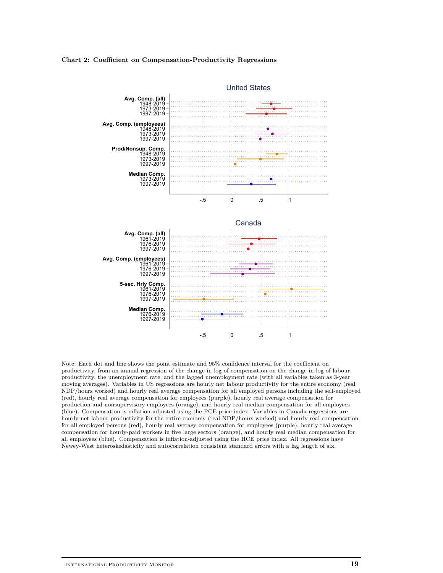#### **Chart 2: Coefficient on Compensation-Productivity Regressions**



Note: Each dot and line shows the point estimate and 95% confidence interval for the coefficient on productivity, from an annual regression of the change in log of compensation on the change in log of labour productivity, the unemployment rate, and the lagged unemployment rate (with all variables taken as 3-year moving averages). Variables in US regressions are hourly net labour productivity for the entire economy (real NDP/hours worked) and hourly real average compensation for all employed persons including the self-employed (red), hourly real average compensation for employees (purple), hourly real average compensation for production and nonsupervisory employees (orange), and hourly real median compensation for all employees (blue). Compensation is inflation-adjusted using the PCE price index. Variables in Canada regressions are hourly net labour productivity for the entire economy (real NDP/hours worked) and hourly real compensation for all employed persons (red), hourly real average compensation for employees (purple), hourly real average compensation for hourly-paid workers in five large sectors (orange), and hourly real median compensation for all employees (blue). Compensation is inflation-adjusted using the HCE price index. All regressions have Newey-West heteroskedasticity and autocorrelation consistent standard errors with a lag length of six.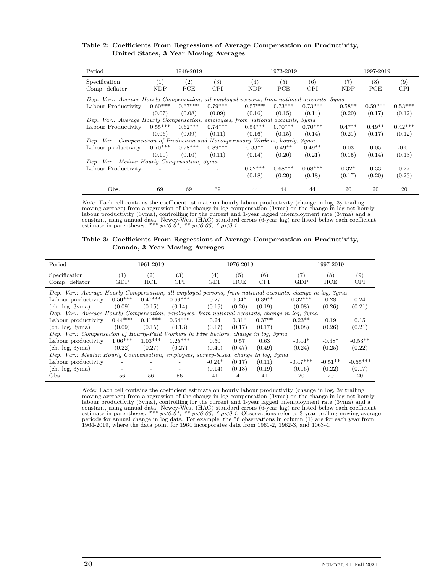| Period                                                                                     | 1948-2019         |           |            |           | 1973-2019 |            | 1997-2019 |           |            |  |  |
|--------------------------------------------------------------------------------------------|-------------------|-----------|------------|-----------|-----------|------------|-----------|-----------|------------|--|--|
| Specification                                                                              | $\left( 1\right)$ | (2)       | (3)        | (4)       | (5)       | (6)        | (7)       | (8)       | (9)        |  |  |
| Comp. deflator                                                                             | <b>NDP</b>        | PCE       | <b>CPI</b> | NDP       | PCE       | <b>CPI</b> | NDP       | PCE       | <b>CPI</b> |  |  |
| Dep. Var.: Average Hourly Compensation, all employed persons, from national accounts, 3yma |                   |           |            |           |           |            |           |           |            |  |  |
| Labour Productivity                                                                        | $0.60***$         | $0.67***$ | $0.79***$  | $0.57***$ | $0.73***$ | $0.73***$  | $0.58**$  | $0.59***$ | $0.53***$  |  |  |
|                                                                                            | (0.07)            | (0.08)    | (0.09)     | (0.16)    | (0.15)    | (0.14)     | (0.20)    | (0.17)    | (0.12)     |  |  |
| Dep. Var.: Average Hourly Compensation, employees, from national accounts, 3yma            |                   |           |            |           |           |            |           |           |            |  |  |
| Labour Productivity                                                                        | $0.55***$         | $0.62***$ | $0.74***$  | $0.54***$ | $0.70***$ | $0.70***$  | $0.47**$  | $0.49**$  | $0.42***$  |  |  |
|                                                                                            | (0.06)            | (0.09)    | (0.11)     | (0.16)    | (0.15)    | (0.14)     | (0.21)    | (0.17)    | (0.12)     |  |  |
| Dep. Var.: Compensation of Production and Nonsupervisory Workers, hourly, 3yma             |                   |           |            |           |           |            |           |           |            |  |  |
| Labour productivity                                                                        | $0.70***$         | $0.78***$ | $0.89***$  | $0.33**$  | $0.49**$  | $0.49**$   | 0.03      | 0.05      | $-0.01$    |  |  |
|                                                                                            | (0.10)            | (0.10)    | (0.11)     | (0.14)    | (0.20)    | (0.21)     | (0.15)    | (0.14)    | (0.13)     |  |  |
| Dep. Var.: Median Hourly Compensation, 3yma                                                |                   |           |            |           |           |            |           |           |            |  |  |
| Labour Productivity                                                                        |                   |           |            | $0.52***$ | $0.68***$ | $0.68***$  | $0.32*$   | 0.33      | 0.27       |  |  |
|                                                                                            |                   |           |            | (0.18)    | (0.20)    | (0.18)     | (0.17)    | (0.20)    | (0.23)     |  |  |
| Obs.                                                                                       | 69                | 69        | 69         | 44        | 44        | 44         | 20        | 20        | 20         |  |  |

#### **Table 2: Coefficients From Regressions of Average Compensation on Productivity, United States, 3 Year Moving Averages**

*Note:* Each cell contains the coefficient estimate on hourly labour productivity (change in log, 3y trailing moving average) from a regression of the change in log compensation (3yma) on the change in log net hourly labour productivity (3yma), controlling for the current and 1-year lagged unemployment rate (3yma) and a constant,

#### **Table 3: Coefficients From Regressions of Average Compensation on Productivity, Canada, 3 Year Moving Averages**

| Period                                                                                                    |           | 1961-2019 |            |          | 1976-2019 |            |                   | 1997-2019 |            |  |  |
|-----------------------------------------------------------------------------------------------------------|-----------|-----------|------------|----------|-----------|------------|-------------------|-----------|------------|--|--|
| Specification                                                                                             | (1)       | (2)       | (3)        | (4)      | (5)       | (6)        | $\left( 7\right)$ | (8)       | (9)        |  |  |
| Comp. deflator                                                                                            | GDP       | HCE       | <b>CPI</b> | GDP      | HCE       | <b>CPI</b> | GDP               | HCE       | <b>CPI</b> |  |  |
| Dep. Var.: Average Hourly Compensation, all employed persons, from national accounts, change in log, 3yma |           |           |            |          |           |            |                   |           |            |  |  |
| Labour productivity                                                                                       | $0.50***$ | $0.47***$ | $0.69***$  | 0.27     | $0.34*$   | $0.39**$   | $0.32***$         | 0.28      | 0.24       |  |  |
| (ch. log, 3yma)                                                                                           | (0.09)    | (0.15)    | (0.14)     | (0.19)   | (0.20)    | (0.19)     | (0.08)            | (0.26)    | (0.21)     |  |  |
| Dep. Var.: Average Hourly Compensation, employees, from national accounts, change in log, 3yma            |           |           |            |          |           |            |                   |           |            |  |  |
| Labour productivity                                                                                       | $0.44***$ | $0.41***$ | $0.64***$  | 0.24     | $0.31*$   | $0.37**$   | $0.23**$          | 0.19      | 0.15       |  |  |
| (ch. log. 3vma)                                                                                           | (0.09)    | (0.15)    | (0.13)     | (0.17)   | (0.17)    | (0.17)     | (0.08)            | (0.26)    | (0.21)     |  |  |
| Dep. Var.: Compensation of Hourly-Paid Workers in Five Sectors, change in log, 3yma                       |           |           |            |          |           |            |                   |           |            |  |  |
| Labour productivity                                                                                       | $1.06***$ | $1.03***$ | $1.25***$  | 0.50     | 0.57      | 0.63       | $-0.44*$          | $-0.48*$  | $-0.53**$  |  |  |
| (ch. log, 3yma)                                                                                           | (0.22)    | (0.27)    | (0.27)     | (0.40)   | (0.47)    | (0.49)     | (0.24)            | (0.25)    | (0.22)     |  |  |
| Dep. Var.: Median Hourly Compensation, employees, survey-based, change in log, 3yma                       |           |           |            |          |           |            |                   |           |            |  |  |
| Labour productivity                                                                                       |           |           |            | $-0.24*$ | (0.17)    | (0.11)     | $-0.47***$        | $-0.51**$ | $-0.55***$ |  |  |
| (ch. log, 3yma)                                                                                           |           |           |            | (0.14)   | (0.18)    | (0.19)     | (0.16)            | (0.22)    | (0.17)     |  |  |
| Obs.                                                                                                      | 56        | 56        | 56         | 41       | 41        | 41         | 20                | 20        | 20         |  |  |

*Note:* Each cell contains the coefficient estimate on hourly labour productivity (change in log, 3y trailing moving average) from a regression of the change in log compensation (3yma) on the change in log net hourly labour productivity (3yma), controlling for the current and 1-year lagged unemployment rate (3yma) and a constant, using annual data. Newey-West (HAC) standard errors (6-year lag) are listed below each coefficient estimat 1964-2019, where the data point for 1964 incorporates data from 1961-2, 1962-3, and 1063-4.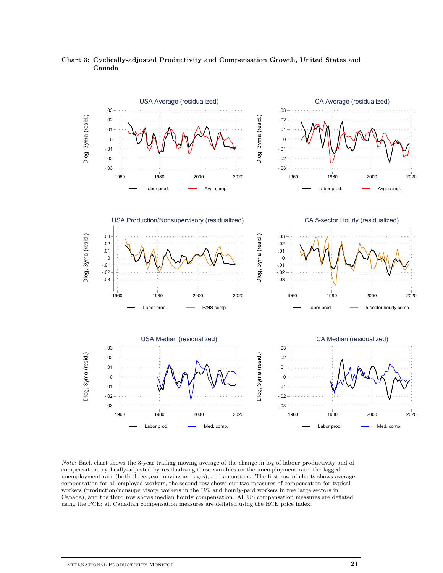

**Chart 3: Cyclically-adjusted Productivity and Compensation Growth, United States and Canada**

*Note:* Each chart shows the 3-year trailing moving average of the change in log of labour productivity and of compensation, cyclically-adjusted by residualizing these variables on the unemployment rate, the lagged unemployment rate (both three-year moving averages), and a constant. The first row of charts shows average compensation for all employed workers, the second row shows our two measures of compensation for typical workers (production/nonsupervisory workers in the US, and hourly-paid workers in five large sectors in Canada), and the third row shows median hourly compensation. All US compensation measures are deflated using the PCE; all Canadian compensation measures are deflated using the HCE price index.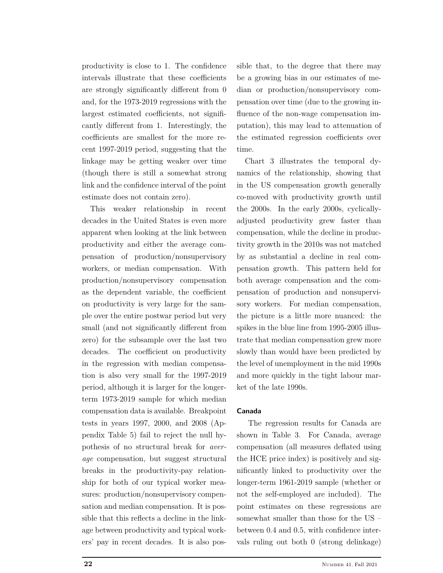productivity is close to 1. The confidence intervals illustrate that these coefficients are strongly significantly different from 0 and, for the 1973-2019 regressions with the largest estimated coefficients, not significantly different from 1. Interestingly, the coefficients are smallest for the more recent 1997-2019 period, suggesting that the linkage may be getting weaker over time (though there is still a somewhat strong link and the confidence interval of the point estimate does not contain zero).

This weaker relationship in recent decades in the United States is even more apparent when looking at the link between productivity and either the average compensation of production/nonsupervisory workers, or median compensation. With production/nonsupervisory compensation as the dependent variable, the coefficient on productivity is very large for the sample over the entire postwar period but very small (and not significantly different from zero) for the subsample over the last two decades. The coefficient on productivity in the regression with median compensation is also very small for the 1997-2019 period, although it is larger for the longerterm 1973-2019 sample for which median compensation data is available. Breakpoint tests in years 1997, 2000, and 2008 (Appendix Table 5) fail to reject the null hypothesis of no structural break for *average* compensation, but suggest structural breaks in the productivity-pay relationship for both of our typical worker measures: production/nonsupervisory compensation and median compensation. It is possible that this reflects a decline in the linkage between productivity and typical workers' pay in recent decades. It is also possible that, to the degree that there may be a growing bias in our estimates of median or production/nonsupervisory compensation over time (due to the growing influence of the non-wage compensation imputation), this may lead to attenuation of the estimated regression coefficients over time.

Chart 3 illustrates the temporal dynamics of the relationship, showing that in the US compensation growth generally co-moved with productivity growth until the 2000s. In the early 2000s, cyclicallyadjusted productivity grew faster than compensation, while the decline in productivity growth in the 2010s was not matched by as substantial a decline in real compensation growth. This pattern held for both average compensation and the compensation of production and nonsupervisory workers. For median compensation, the picture is a little more nuanced: the spikes in the blue line from 1995-2005 illustrate that median compensation grew more slowly than would have been predicted by the level of unemployment in the mid 1990s and more quickly in the tight labour market of the late 1990s.

### **Canada**

The regression results for Canada are shown in Table 3. For Canada, average compensation (all measures deflated using the HCE price index) is positively and significantly linked to productivity over the longer-term 1961-2019 sample (whether or not the self-employed are included). The point estimates on these regressions are somewhat smaller than those for the US – between 0.4 and 0.5, with confidence intervals ruling out both 0 (strong delinkage)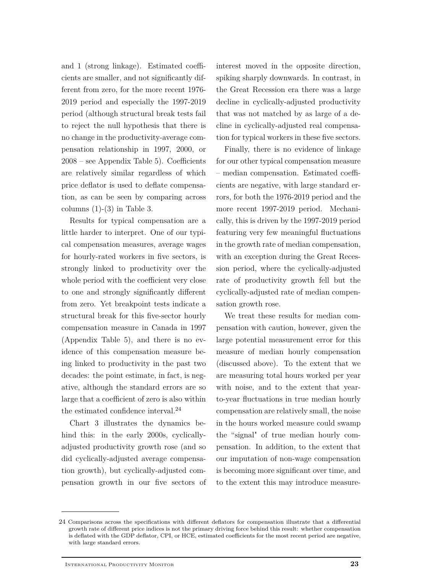and 1 (strong linkage). Estimated coefficients are smaller, and not significantly different from zero, for the more recent 1976- 2019 period and especially the 1997-2019 period (although structural break tests fail to reject the null hypothesis that there is no change in the productivity-average compensation relationship in 1997, 2000, or 2008 – see Appendix Table 5). Coefficients are relatively similar regardless of which price deflator is used to deflate compensation, as can be seen by comparing across columns  $(1)-(3)$  in Table 3.

Results for typical compensation are a little harder to interpret. One of our typical compensation measures, average wages for hourly-rated workers in five sectors, is strongly linked to productivity over the whole period with the coefficient very close to one and strongly significantly different from zero. Yet breakpoint tests indicate a structural break for this five-sector hourly compensation measure in Canada in 1997 (Appendix Table 5), and there is no evidence of this compensation measure being linked to productivity in the past two decades: the point estimate, in fact, is negative, although the standard errors are so large that a coefficient of zero is also within the estimated confidence interval.<sup>24</sup>

Chart 3 illustrates the dynamics behind this: in the early 2000s, cyclicallyadjusted productivity growth rose (and so did cyclically-adjusted average compensation growth), but cyclically-adjusted compensation growth in our five sectors of

interest moved in the opposite direction, spiking sharply downwards. In contrast, in the Great Recession era there was a large decline in cyclically-adjusted productivity that was not matched by as large of a decline in cyclically-adjusted real compensation for typical workers in these five sectors.

Finally, there is no evidence of linkage for our other typical compensation measure – median compensation. Estimated coefficients are negative, with large standard errors, for both the 1976-2019 period and the more recent 1997-2019 period. Mechanically, this is driven by the 1997-2019 period featuring very few meaningful fluctuations in the growth rate of median compensation, with an exception during the Great Recession period, where the cyclically-adjusted rate of productivity growth fell but the cyclically-adjusted rate of median compensation growth rose.

We treat these results for median compensation with caution, however, given the large potential measurement error for this measure of median hourly compensation (discussed above). To the extent that we are measuring total hours worked per year with noise, and to the extent that yearto-year fluctuations in true median hourly compensation are relatively small, the noise in the hours worked measure could swamp the "signal" of true median hourly compensation. In addition, to the extent that our imputation of non-wage compensation is becoming more significant over time, and to the extent this may introduce measure-

<sup>24</sup> Comparisons across the specifications with different deflators for compensation illustrate that a differential growth rate of different price indices is not the primary driving force behind this result: whether compensation is deflated with the GDP deflator, CPI, or HCE, estimated coefficients for the most recent period are negative, with large standard errors.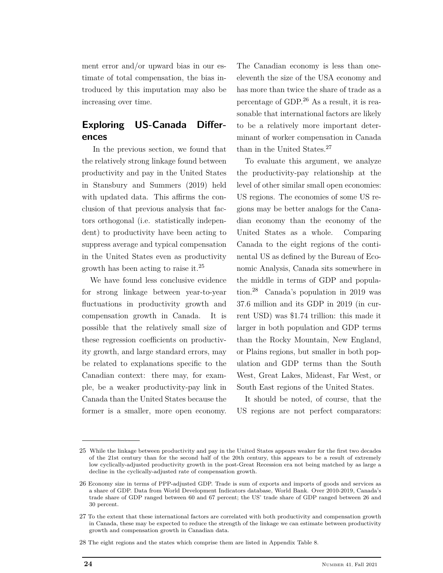ment error and/or upward bias in our estimate of total compensation, the bias introduced by this imputation may also be increasing over time.

# **Exploring US-Canada Differences**

In the previous section, we found that the relatively strong linkage found between productivity and pay in the United States in Stansbury and Summers (2019) held with updated data. This affirms the conclusion of that previous analysis that factors orthogonal (i.e. statistically independent) to productivity have been acting to suppress average and typical compensation in the United States even as productivity growth has been acting to raise it.<sup>25</sup>

We have found less conclusive evidence for strong linkage between year-to-year fluctuations in productivity growth and compensation growth in Canada. It is possible that the relatively small size of these regression coefficients on productivity growth, and large standard errors, may be related to explanations specific to the Canadian context: there may, for example, be a weaker productivity-pay link in Canada than the United States because the former is a smaller, more open economy.

The Canadian economy is less than oneeleventh the size of the USA economy and has more than twice the share of trade as a percentage of GDP.<sup>26</sup> As a result, it is reasonable that international factors are likely to be a relatively more important determinant of worker compensation in Canada than in the United States.<sup>27</sup>

To evaluate this argument, we analyze the productivity-pay relationship at the level of other similar small open economies: US regions. The economies of some US regions may be better analogs for the Canadian economy than the economy of the United States as a whole. Comparing Canada to the eight regions of the continental US as defined by the Bureau of Economic Analysis, Canada sits somewhere in the middle in terms of GDP and population.<sup>28</sup> Canada's population in 2019 was 37.6 million and its GDP in 2019 (in current USD) was \$1.74 trillion: this made it larger in both population and GDP terms than the Rocky Mountain, New England, or Plains regions, but smaller in both population and GDP terms than the South West, Great Lakes, Mideast, Far West, or South East regions of the United States.

It should be noted, of course, that the US regions are not perfect comparators:

<sup>25</sup> While the linkage between productivity and pay in the United States appears weaker for the first two decades of the 21st century than for the second half of the 20th century, this appears to be a result of extremely low cyclically-adjusted productivity growth in the post-Great Recession era not being matched by as large a decline in the cyclically-adjusted rate of compensation growth.

<sup>26</sup> Economy size in terms of PPP-adjusted GDP. Trade is sum of exports and imports of goods and services as a share of GDP. Data from World Development Indicators database, World Bank. Over 2010-2019, Canada's trade share of GDP ranged between 60 and 67 percent; the US' trade share of GDP ranged between 26 and 30 percent.

<sup>27</sup> To the extent that these international factors are correlated with both productivity and compensation growth in Canada, these may be expected to reduce the strength of the linkage we can estimate between productivity growth and compensation growth in Canadian data.

<sup>28</sup> The eight regions and the states which comprise them are listed in Appendix Table 8.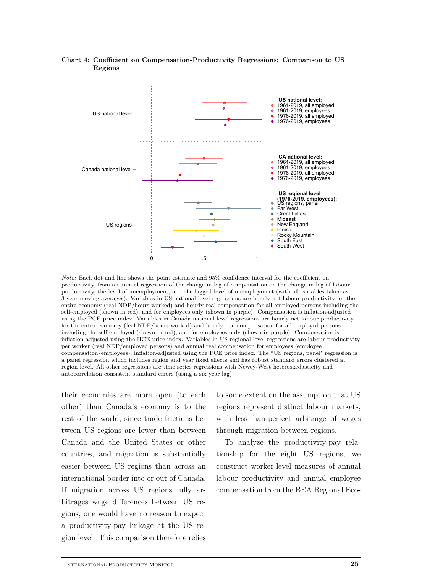

### **Chart 4: Coefficient on Compensation-Productivity Regressions: Comparison to US Regions**

*Note:* Each dot and line shows the point estimate and 95% confidence interval for the coefficient on productivity, from an annual regression of the change in log of compensation on the change in log of labour productivity, the level of unemployment, and the lagged level of unemployment (with all variables taken as 3-year moving averages). Variables in US national level regressions are hourly net labour productivity for the entire economy (real NDP/hours worked) and hourly real compensation for all employed persons including the self-employed (shown in red), and for employees only (shown in purple). Compensation is inflation-adjusted using the PCE price index. Variables in Canada national level regressions are hourly net labour productivity for the entire economy (feal NDP/hours worked) and hourly real compensation for all employed persons including the self-employed (shown in red), and for employees only (shown in purple). Compensation is inflation-adjusted using the HCE price index. Variables in US regional level regressions are labour productivity per worker (real NDP/employed persons) and annual real compensation for employees (employee compensation/employees), inflation-adjusted using the PCE price index. The "US regions, panel" regression is a panel regression which includes region and year fixed effects and has robust standard errors clustered at region level. All other regressions are time series regressions with Newey-West heteroskedasticity and autocorrelation consistent standard errors (using a six year lag).

their economies are more open (to each other) than Canada's economy is to the rest of the world, since trade frictions between US regions are lower than between Canada and the United States or other countries, and migration is substantially easier between US regions than across an international border into or out of Canada. If migration across US regions fully arbitrages wage differences between US regions, one would have no reason to expect a productivity-pay linkage at the US region level. This comparison therefore relies to some extent on the assumption that US regions represent distinct labour markets, with less-than-perfect arbitrage of wages through migration between regions.

To analyze the productivity-pay relationship for the eight US regions, we construct worker-level measures of annual labour productivity and annual employee compensation from the BEA Regional Eco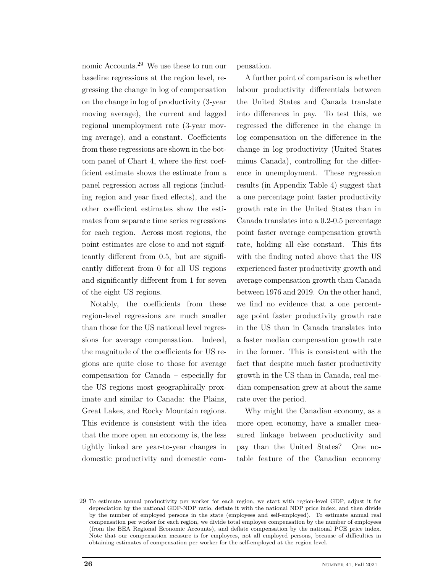nomic Accounts.<sup>29</sup> We use these to run our baseline regressions at the region level, regressing the change in log of compensation on the change in log of productivity (3-year moving average), the current and lagged regional unemployment rate (3-year moving average), and a constant. Coefficients from these regressions are shown in the bottom panel of Chart 4, where the first coefficient estimate shows the estimate from a panel regression across all regions (including region and year fixed effects), and the other coefficient estimates show the estimates from separate time series regressions for each region. Across most regions, the point estimates are close to and not significantly different from 0.5, but are significantly different from 0 for all US regions and significantly different from 1 for seven of the eight US regions.

Notably, the coefficients from these region-level regressions are much smaller than those for the US national level regressions for average compensation. Indeed, the magnitude of the coefficients for US regions are quite close to those for average compensation for Canada – especially for the US regions most geographically proximate and similar to Canada: the Plains, Great Lakes, and Rocky Mountain regions. This evidence is consistent with the idea that the more open an economy is, the less tightly linked are year-to-year changes in domestic productivity and domestic compensation.

A further point of comparison is whether labour productivity differentials between the United States and Canada translate into differences in pay. To test this, we regressed the difference in the change in log compensation on the difference in the change in log productivity (United States minus Canada), controlling for the difference in unemployment. These regression results (in Appendix Table 4) suggest that a one percentage point faster productivity growth rate in the United States than in Canada translates into a 0.2-0.5 percentage point faster average compensation growth rate, holding all else constant. This fits with the finding noted above that the US experienced faster productivity growth and average compensation growth than Canada between 1976 and 2019. On the other hand, we find no evidence that a one percentage point faster productivity growth rate in the US than in Canada translates into a faster median compensation growth rate in the former. This is consistent with the fact that despite much faster productivity growth in the US than in Canada, real median compensation grew at about the same rate over the period.

Why might the Canadian economy, as a more open economy, have a smaller measured linkage between productivity and pay than the United States? One notable feature of the Canadian economy

<sup>29</sup> To estimate annual productivity per worker for each region, we start with region-level GDP, adjust it for depreciation by the national GDP-NDP ratio, deflate it with the national NDP price index, and then divide by the number of employed persons in the state (employees and self-employed). To estimate annual real compensation per worker for each region, we divide total employee compensation by the number of employees (from the BEA Regional Economic Accounts), and deflate compensation by the national PCE price index. Note that our compensation measure is for employees, not all employed persons, because of difficulties in obtaining estimates of compensation per worker for the self-employed at the region level.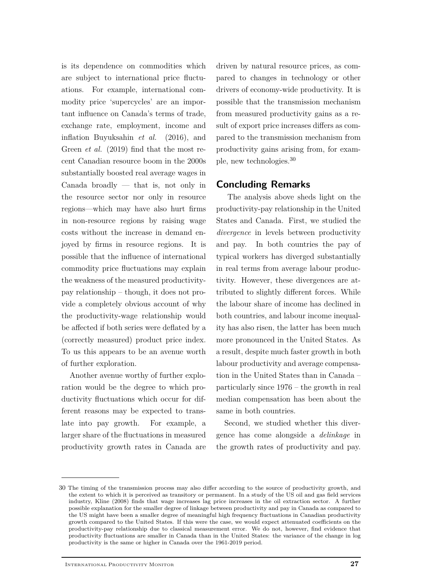is its dependence on commodities which are subject to international price fluctuations. For example, international commodity price 'supercycles' are an important influence on Canada's terms of trade, exchange rate, employment, income and inflation Buyuksahin *et al.* (2016), and Green *et al.* (2019) find that the most recent Canadian resource boom in the 2000s substantially boosted real average wages in Canada broadly  $-$  that is, not only in the resource sector nor only in resource regions—which may have also hurt firms in non-resource regions by raising wage costs without the increase in demand enjoyed by firms in resource regions. It is possible that the influence of international commodity price fluctuations may explain the weakness of the measured productivitypay relationship – though, it does not provide a completely obvious account of why the productivity-wage relationship would be affected if both series were deflated by a (correctly measured) product price index. To us this appears to be an avenue worth of further exploration.

Another avenue worthy of further exploration would be the degree to which productivity fluctuations which occur for different reasons may be expected to translate into pay growth. For example, a larger share of the fluctuations in measured productivity growth rates in Canada are driven by natural resource prices, as compared to changes in technology or other drivers of economy-wide productivity. It is possible that the transmission mechanism from measured productivity gains as a result of export price increases differs as compared to the transmission mechanism from productivity gains arising from, for example, new technologies.<sup>30</sup>

### **Concluding Remarks**

The analysis above sheds light on the productivity-pay relationship in the United States and Canada. First, we studied the *divergence* in levels between productivity and pay. In both countries the pay of typical workers has diverged substantially in real terms from average labour productivity. However, these divergences are attributed to slightly different forces. While the labour share of income has declined in both countries, and labour income inequality has also risen, the latter has been much more pronounced in the United States. As a result, despite much faster growth in both labour productivity and average compensation in the United States than in Canada – particularly since 1976 – the growth in real median compensation has been about the same in both countries.

Second, we studied whether this divergence has come alongside a *delinkage* in the growth rates of productivity and pay.

<sup>30</sup> The timing of the transmission process may also differ according to the source of productivity growth, and the extent to which it is perceived as transitory or permanent. In a study of the US oil and gas field services industry, Kline (2008) finds that wage increases lag price increases in the oil extraction sector. A further possible explanation for the smaller degree of linkage between productivity and pay in Canada as compared to the US might have been a smaller degree of meaningful high frequency fluctuations in Canadian productivity growth compared to the United States. If this were the case, we would expect attenuated coefficients on the productivity-pay relationship due to classical measurement error. We do not, however, find evidence that productivity fluctuations are smaller in Canada than in the United States: the variance of the change in log productivity is the same or higher in Canada over the 1961-2019 period.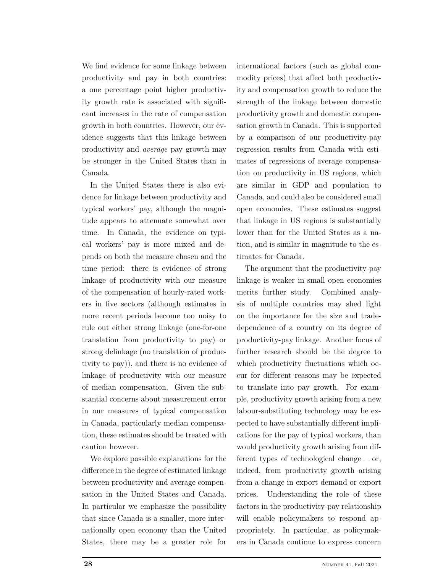We find evidence for some linkage between productivity and pay in both countries: a one percentage point higher productivity growth rate is associated with significant increases in the rate of compensation growth in both countries. However, our evidence suggests that this linkage between productivity and *average* pay growth may be stronger in the United States than in Canada.

In the United States there is also evidence for linkage between productivity and typical workers' pay, although the magnitude appears to attenuate somewhat over time. In Canada, the evidence on typical workers' pay is more mixed and depends on both the measure chosen and the time period: there is evidence of strong linkage of productivity with our measure of the compensation of hourly-rated workers in five sectors (although estimates in more recent periods become too noisy to rule out either strong linkage (one-for-one translation from productivity to pay) or strong delinkage (no translation of productivity to pay)), and there is no evidence of linkage of productivity with our measure of median compensation. Given the substantial concerns about measurement error in our measures of typical compensation in Canada, particularly median compensation, these estimates should be treated with caution however.

We explore possible explanations for the difference in the degree of estimated linkage between productivity and average compensation in the United States and Canada. In particular we emphasize the possibility that since Canada is a smaller, more internationally open economy than the United States, there may be a greater role for

international factors (such as global commodity prices) that affect both productivity and compensation growth to reduce the strength of the linkage between domestic productivity growth and domestic compensation growth in Canada. This is supported by a comparison of our productivity-pay regression results from Canada with estimates of regressions of average compensation on productivity in US regions, which are similar in GDP and population to Canada, and could also be considered small open economies. These estimates suggest that linkage in US regions is substantially lower than for the United States as a nation, and is similar in magnitude to the estimates for Canada.

The argument that the productivity-pay linkage is weaker in small open economies merits further study. Combined analysis of multiple countries may shed light on the importance for the size and tradedependence of a country on its degree of productivity-pay linkage. Another focus of further research should be the degree to which productivity fluctuations which occur for different reasons may be expected to translate into pay growth. For example, productivity growth arising from a new labour-substituting technology may be expected to have substantially different implications for the pay of typical workers, than would productivity growth arising from different types of technological change – or, indeed, from productivity growth arising from a change in export demand or export prices. Understanding the role of these factors in the productivity-pay relationship will enable policymakers to respond appropriately. In particular, as policymakers in Canada continue to express concern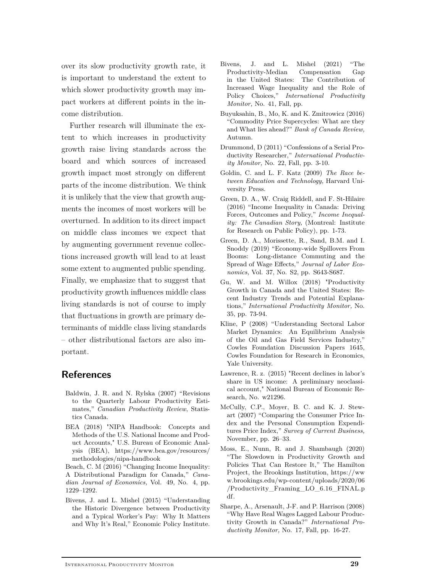over its slow productivity growth rate, it is important to understand the extent to which slower productivity growth may impact workers at different points in the income distribution.

Further research will illuminate the extent to which increases in productivity growth raise living standards across the board and which sources of increased growth impact most strongly on different parts of the income distribution. We think it is unlikely that the view that growth augments the incomes of most workers will be overturned. In addition to its direct impact on middle class incomes we expect that by augmenting government revenue collections increased growth will lead to at least some extent to augmented public spending. Finally, we emphasize that to suggest that productivity growth influences middle class living standards is not of course to imply that fluctuations in growth are primary determinants of middle class living standards – other distributional factors are also important.

## **References**

- Baldwin, J. R. and N. Rylska (2007) "Revisions to the Quarterly Labour Productivity Estimates," *Canadian Productivity Review*, Statistics Canada.
- BEA (2018) "NIPA Handbook: Concepts and Methods of the U.S. National Income and Product Accounts," U.S. Bureau of Economic Analysis (BEA), https://www.bea.gov/resources/ methodologies/nipa-handbook

Beach, C. M (2016) "Changing Income Inequality: A Distributional Paradigm for Canada," *Canadian Journal of Economics,* Vol. 49, No. 4, pp. 1229–1292.

Bivens, J. and L. Mishel (2015) "Understanding the Historic Divergence between Productivity and a Typical Worker's Pay: Why It Matters and Why It's Real," Economic Policy Institute.

- Bivens, J. and L. Mishel (2021) "The Productivity-Median Compensation Gap in the United States: The Contribution of Increased Wage Inequality and the Role of Policy Choices," *International Productivity Monitor,* No. 41, Fall, pp.
- Buyuksahin, B., Mo, K. and K. Zmitrowicz (2016) "Commodity Price Supercycles: What are they and What lies ahead?" *Bank of Canada Review,* Autumn.
- Drummond, D (2011) "Confessions of a Serial Productivity Researcher," *International Productivity Monitor,* No. 22, Fall, pp. 3-10.
- Goldin, C. and L. F. Katz (2009) *The Race between Education and Technology,* Harvard University Press.
- Green, D. A., W. Craig Riddell, and F. St-Hilaire (2016) "Income Inequality in Canada: Driving Forces, Outcomes and Policy," *Income Inequality: The Canadian Story,* (Montreal: Institute for Research on Public Policy), pp. 1-73.
- Green, D. A., Morissette, R., Sand, B.M. and I. Snoddy (2019) "Economy-wide Spillovers From Booms: Long-distance Commuting and the Spread of Wage Effects," *Journal of Labor Economics,* Vol. 37, No. S2, pp. S643-S687.
- Gu, W. and M. Willox (2018) "Productivity Growth in Canada and the United States: Recent Industry Trends and Potential Explanations," *International Productivity Monitor,* No. 35, pp. 73-94.
- Kline, P (2008) "Understanding Sectoral Labor Market Dynamics: An Equilibrium Analysis of the Oil and Gas Field Services Industry," Cowles Foundation Discussion Papers 1645, Cowles Foundation for Research in Economics, Yale University.
- Lawrence, R. z. (2015) "Recent declines in labor's share in US income: A preliminary neoclassical account," National Bureau of Economic Research, No. w21296.
- McCully, C.P., Moyer, B. C. and K. J. Stewart (2007) "Comparing the Consumer Price Index and the Personal Consumption Expenditures Price Index," *Survey of Current Business,* November, pp. 26–33.
- Moss, E., Nunn, R. and J. Shambaugh (2020) "The Slowdown in Productivity Growth and Policies That Can Restore It," The Hamilton Project, the Brookings Institution, https://ww w.brookings.edu/wp-content/uploads/2020/06 /Productivity\_Framing\_LO\_6.16\_FINAL.p df.
- Sharpe, A., Arsenault, J-F. and P. Harrison (2008) "Why Have Real Wages Lagged Labour Productivity Growth in Canada?" *International Productivity Monitor,* No. 17, Fall, pp. 16-27.